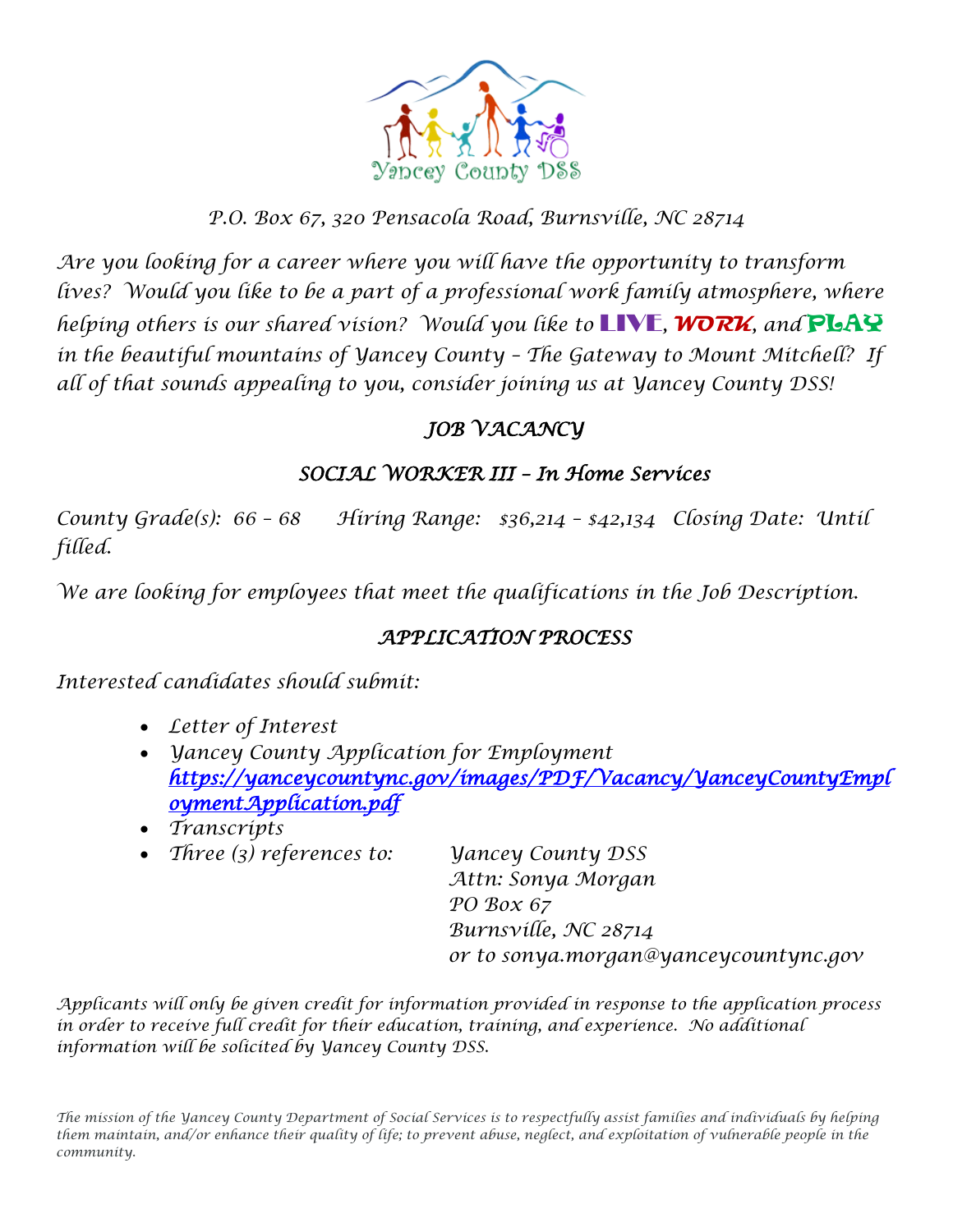

## *P.O. Box 67, 320 Pensacola Road, Burnsville, NC 28714*

*Are you looking for a career where you will have the opportunity to transform* lives? Would you like to be a part of a professional work family atmosphere, where *helping others is our shared vision? Would you like to* LIVE*,* **WORK***, and* PLAY *in the beautiful mountains of Yancey County – The Gateway to Mount Mitchell? If all of that sounds appealing to you, consider joining us at Yancey County DSS!* 

## *JOB VACANCY*

### *SOCIAL WORKER III – In Home Services*

*County Grade(s): 66 – 68 Hiring Range: \$36,214 – \$42,134 Closing Date: Until filled.*

*We are looking for employees that meet the qualifications in the Job Description.*

### *APPLICATION PROCESS*

*Interested candidates should submit:*

- *Letter of Interest*
- *Yancey County Application for Employment [https://yanceycountync.gov/images/PDF/Vacancy/YanceyCountyEmpl](https://yanceycountync.gov/images/PDF/Vacancy/YanceyCountyEmploymentApplication.pdf) [oymentApplication.pdf](https://yanceycountync.gov/images/PDF/Vacancy/YanceyCountyEmploymentApplication.pdf)*
- *Transcripts*
- *Three (3) references to: Yancey County DSS*

*Attn: Sonya Morgan PO Box 67 Burnsville, NC 28714 or to sonya.morgan@yanceycountync.gov*

*Applicants will only be given credit for information provided in response to the application process in order to receive full credit for their education, training, and experience. No additional information will be solicited by Yancey County DSS.*

*The mission of the Yancey County Department of Social Services is to respectfully assist families and individuals by helping them maintain, and/or enhance their quality of life; to prevent abuse, neglect, and exploitation of vulnerable people in the community.*